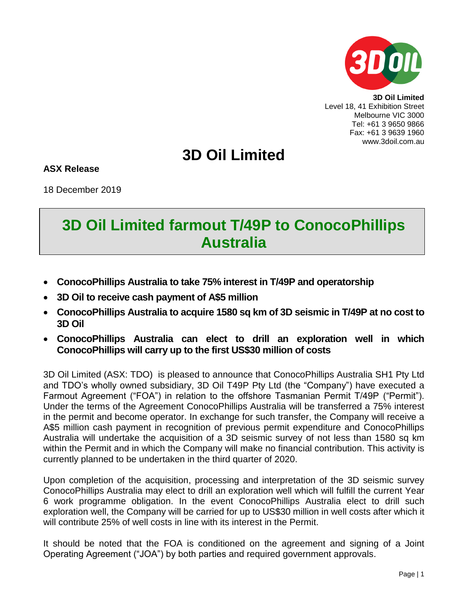

**3D Oil Limited** Level 18, 41 Exhibition Street Melbourne VIC 3000 Tel: +61 3 9650 9866 Fax: +61 3 9639 1960 www.3doil.com.au

## **3D Oil Limited**

**ASX Release**

18 December 2019

## **3D Oil Limited farmout T/49P to ConocoPhillips Australia**

- **ConocoPhillips Australia to take 75% interest in T/49P and operatorship**
- **3D Oil to receive cash payment of A\$5 million**
- **ConocoPhillips Australia to acquire 1580 sq km of 3D seismic in T/49P at no cost to 3D Oil**
- **ConocoPhillips Australia can elect to drill an exploration well in which ConocoPhillips will carry up to the first US\$30 million of costs**

3D Oil Limited (ASX: TDO) is pleased to announce that ConocoPhillips Australia SH1 Pty Ltd and TDO's wholly owned subsidiary, 3D Oil T49P Pty Ltd (the "Company") have executed a Farmout Agreement ("FOA") in relation to the offshore Tasmanian Permit T/49P ("Permit"). Under the terms of the Agreement ConocoPhillips Australia will be transferred a 75% interest in the permit and become operator. In exchange for such transfer, the Company will receive a A\$5 million cash payment in recognition of previous permit expenditure and ConocoPhillips Australia will undertake the acquisition of a 3D seismic survey of not less than 1580 sq km within the Permit and in which the Company will make no financial contribution. This activity is currently planned to be undertaken in the third quarter of 2020.

Upon completion of the acquisition, processing and interpretation of the 3D seismic survey ConocoPhillips Australia may elect to drill an exploration well which will fulfill the current Year 6 work programme obligation. In the event ConocoPhillips Australia elect to drill such exploration well, the Company will be carried for up to US\$30 million in well costs after which it will contribute 25% of well costs in line with its interest in the Permit.

It should be noted that the FOA is conditioned on the agreement and signing of a Joint Operating Agreement ("JOA") by both parties and required government approvals.